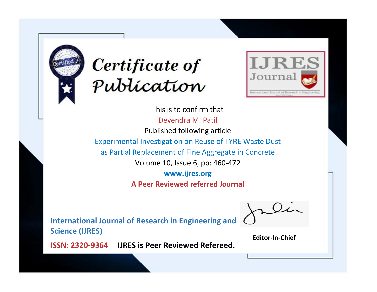



This is to confirm that Devendra M. Patil Published following article Experimental Investigation on Reuse of TYRE Waste Dust as Partial Replacement of Fine Aggregate in Concrete Volume 10, Issue 6, pp: 460-472 **www.ijres.org A Peer Reviewed referred Journal**

**International Journal of Research in Engineering and Science (IJRES)**

\_\_\_\_\_\_\_\_\_\_\_\_\_\_\_\_\_\_\_\_\_\_\_\_ **Editor-In-Chief**

**Journal.**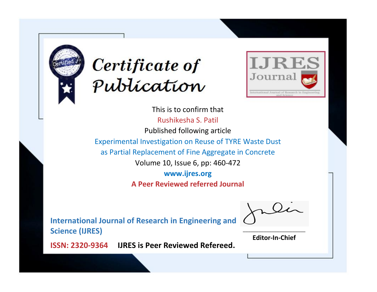



This is to confirm that Rushikesha S. Patil Published following article Experimental Investigation on Reuse of TYRE Waste Dust as Partial Replacement of Fine Aggregate in Concrete Volume 10, Issue 6, pp: 460-472 **www.ijres.org A Peer Reviewed referred Journal**

**International Journal of Research in Engineering and Science (IJRES)**

\_\_\_\_\_\_\_\_\_\_\_\_\_\_\_\_\_\_\_\_\_\_\_\_ **Editor-In-Chief**

**Journal.**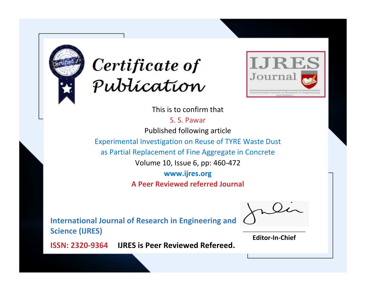



This is to confirm that

S. S. Pawar Published following article Experimental Investigation on Reuse of TYRE Waste Dust as Partial Replacement of Fine Aggregate in Concrete Volume 10, Issue 6, pp: 460-472

**www.ijres.org**

**A Peer Reviewed referred Journal**

**International Journal of Research in Engineering and Science (IJRES)**

\_\_\_\_\_\_\_\_\_\_\_\_\_\_\_\_\_\_\_\_\_\_\_\_ **Editor-In-Chief**

**Journal.**